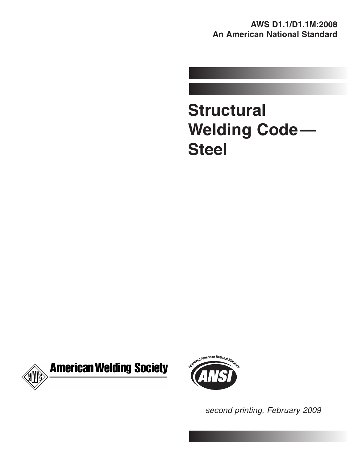### **AWS D1.1/D1.1M:2008 An American National Standard**

# **Structural Welding Code— Steel**



# **American Welding Society**



second printing, February 2009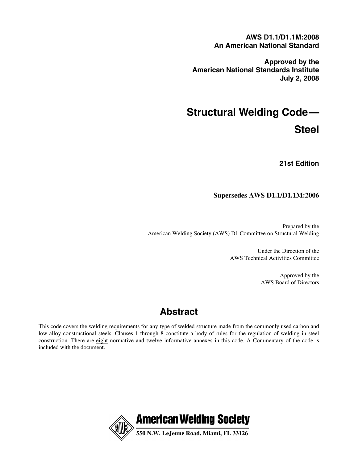**AWS D1.1/D1.1M:2008 An American National Standard**

**Approved by the American National Standards Institute July 2, 2008**

# **Structural Welding Code— Steel**

**21st Edition**

### **Supersedes AWS D1.1/D1.1M:2006**

Prepared by the American Welding Society (AWS) D1 Committee on Structural Welding

> Under the Direction of the AWS Technical Activities Committee

> > Approved by the AWS Board of Directors

# **Abstract**

This code covers the welding requirements for any type of welded structure made from the commonly used carbon and low-alloy constructional steels. Clauses 1 through 8 constitute a body of rules for the regulation of welding in steel construction. There are eight normative and twelve informative annexes in this code. A Commentary of the code is included with the document.

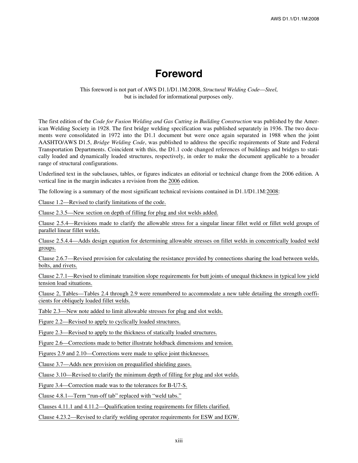# **Foreword**

### This foreword is not part of AWS D1.1/D1.1M:2008, *Structural Welding Code*—*Steel*, but is included for informational purposes only.

The first edition of the *Code for Fusion Welding and Gas Cutting in Building Construction* was published by the American Welding Society in 1928. The first bridge welding specification was published separately in 1936. The two documents were consolidated in 1972 into the D1.1 document but were once again separated in 1988 when the joint AASHTO/AWS D1.5, *Bridge Welding Code*, was published to address the specific requirements of State and Federal Transportation Departments. Coincident with this, the D1.1 code changed references of buildings and bridges to statically loaded and dynamically loaded structures, respectively, in order to make the document applicable to a broader range of structural configurations.

Underlined text in the subclauses, tables, or figures indicates an editorial or technical change from the 2006 edition. A vertical line in the margin indicates a revision from the 2006 edition.

The following is a summary of the most significant technical revisions contained in D1.1/D1.1M:2008:

Clause 1.2—Revised to clarify limitations of the code.

Clause 2.3.5—New section on depth of filling for plug and slot welds added.

Clause 2.5.4—Revisions made to clarify the allowable stress for a singular linear fillet weld or fillet weld groups of parallel linear fillet welds.

Clause 2.5.4.4—Adds design equation for determining allowable stresses on fillet welds in concentrically loaded weld groups.

Clause 2.6.7—Revised provision for calculating the resistance provided by connections sharing the load between welds, bolts, and rivets.

Clause 2.7.1—Revised to eliminate transition slope requirements for butt joints of unequal thickness in typical low yield tension load situations.

Clause 2, Tables—Tables 2.4 through 2.9 were renumbered to accommodate a new table detailing the strength coefficients for obliquely loaded fillet welds.

Table 2.3—New note added to limit allowable stresses for plug and slot welds.

Figure 2.2—Revised to apply to cyclically loaded structures.

Figure 2.3—Revised to apply to the thickness of statically loaded structures.

Figure 2.6—Corrections made to better illustrate holdback dimensions and tension.

Figures 2.9 and 2.10—Corrections were made to splice joint thicknesses.

Clause 3.7—Adds new provision on prequalified shielding gases.

Clause 3.10—Revised to clarify the minimum depth of filling for plug and slot welds.

Figure 3.4—Correction made was to the tolerances for B-U7-S.

Clause 4.8.1—Term "run-off tab" replaced with "weld tabs."

Clauses 4.11.1 and 4.11.2—Qualification testing requirements for fillets clarified.

Clause 4.23.2—Revised to clarify welding operator requirements for ESW and EGW.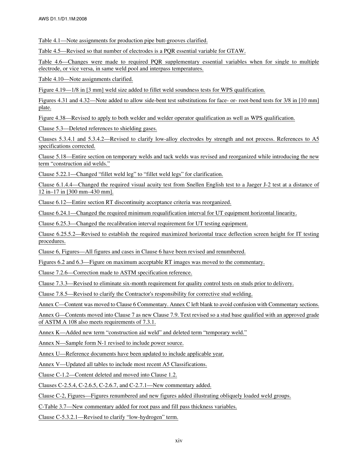Table 4.1—Note assignments for production pipe butt-grooves clarified.

Table 4.5—Revised so that number of electrodes is a PQR essential variable for GTAW.

Table 4.6—Changes were made to required PQR supplementary essential variables when for single to multiple electrode, or vice versa, in same weld pool and interpass temperatures.

Table 4.10—Note assignments clarified.

Figure 4.19—1/8 in [3 mm] weld size added to fillet weld soundness tests for WPS qualification.

Figures 4.31 and 4.32—Note added to allow side-bent test substitutions for face- or- root-bend tests for 3/8 in [10 mm] plate.

Figure 4.38—Revised to apply to both welder and welder operator qualification as well as WPS qualification.

Clause 5.3—Deleted references to shielding gases.

Clauses 5.3.4.1 and 5.3.4.2—Revised to clarify low-alloy electrodes by strength and not process. References to A5 specifications corrected.

Clause 5.18—Entire section on temporary welds and tack welds was revised and reorganized while introducing the new term "construction aid welds."

Clause 5.22.1—Changed "fillet weld leg" to "fillet weld legs" for clarification.

Clause 6.1.4.4—Changed the required visual acuity test from Snellen English test to a Jaeger J-2 test at a distance of 12 in–17 in [300 mm–430 mm].

Clause 6.12—Entire section RT discontinuity acceptance criteria was reorganized.

Clause 6.24.1—Changed the required minimum requalification interval for UT equipment horizontal linearity.

Clause 6.25.3—Changed the recalibration interval requirement for UT testing equipment.

Clause 6.25.5.2—Revised to establish the required maximized horizontal trace deflection screen height for IT testing procedures.

Clause 6, Figures—All figures and cases in Clause 6 have been revised and renumbered.

Figures 6.2 and 6.3—Figure on maximum acceptable RT images was moved to the commentary.

Clause 7.2.6—Correction made to ASTM specification reference.

Clause 7.3.3—Revised to eliminate six-month requirement for quality control tests on studs prior to delivery.

Clause 7.8.5—Revised to clarify the Contractor's responsibility for corrective stud welding.

Annex C—Content was moved to Clause 6 Commentary. Annex C left blank to avoid confusion with Commentary sections.

Annex G—Contents moved into Clause 7 as new Clause 7.9. Text revised so a stud base qualified with an approved grade of ASTM A 108 also meets requirements of 7.3.1.

Annex K—Added new term "construction aid weld" and deleted term "temporary weld."

Annex N—Sample form N-1 revised to include power source.

Annex U—Reference documents have been updated to include applicable year.

Annex V—Updated all tables to include most recent A5 Classifications.

Clause C-1.2—Content deleted and moved into Clause 1.2.

Clauses C-2.5.4, C-2.6.5, C-2.6.7, and C-2.7.1—New commentary added.

Clause C-2, Figures—Figures renumbered and new figures added illustrating obliquely loaded weld groups.

C-Table 3.7—New commentary added for root pass and fill pass thickness variables.

Clause C-5.3.2.1—Revised to clarify "low-hydrogen" term.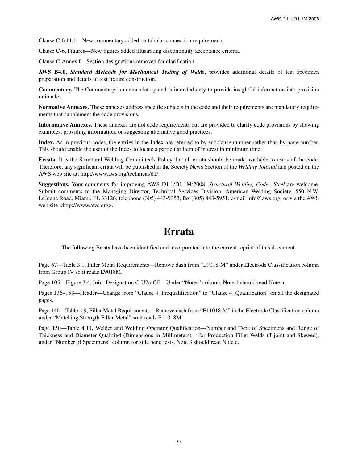Clause C-6.11.1—New commentary added on tubular connection requirements.

Clause C-6, Figures—New figures added illustrating discontinuity acceptance criteria.

Clause C-Annex I—Section designations removed for clarification.

**AWS B4.0,** *Standard Methods for Mechanical Testing of Welds***,** provides additional details of test specimen preparation and details of test fixture construction.

**Commentary.** The Commentary is nonmandatory and is intended only to provide insightful information into provision rationale.

**Normative Annexes.** These annexes address specific subjects in the code and their requirements are mandatory requirements that supplement the code provisions.

**Informative Annexes.** These annexes are not code requirements but are provided to clarify code provisions by showing examples, providing information, or suggesting alternative good practices.

**Index.** As in previous codes, the entries in the Index are referred to by subclause number rather than by page number. This should enable the user of the Index to locate a particular item of interest in minimum time.

**Errata.** It is the Structural Welding Committee's Policy that all errata should be made available to users of the code. Therefore, any significant errata will be published in the Society News Section of the *Welding Journal* and posted on the AWS web site at: http://www.aws.org/technical/d1/.

**Suggestions.** Your comments for improving AWS D1.1/D1.1M:2008, *Structural Welding Code—Steel* are welcome. Submit comments to the Managing Director, Technical Services Division, American Welding Society, 550 N.W. LeJeune Road, Miami, FL 33126; telephone (305) 443-9353; fax (305) 443-5951; e-mail info@aws.org; or via the AWS web site <http://www.aws.org>.

## **Errata**

The following Errata have been identified and incorporated into the current reprint of this document.

Page 67—Table 3.1, Filler Metal Requirements—Remove dash from "E9018-M" under Electrode Classification column from Group IV so it reads E9018M.

Page 105—Figure 3.4, Joint Designation C-U2a-GF—Under "Notes" column, Note 1 should read Note a.

Pages 136–153—Header—Change from "Clause 4. Prequalification" to "Clause 4. Qualification" on all the designated pages.

Page 146—Table 4.9, Filler Metal Requirements—Remove dash from "E11018-M" in the Electrode Classification column under "Matching Strength Filler Metal" so it reads E11018M.

Page 150—Table 4.11, Welder and Welding Operator Qualification—Number and Type of Specimens and Range of Thickness and Diameter Qualified (Dimensions in Millimeters)—For Production Fillet Welds (T-joint and Skewed), under "Number of Specimens" column for side bend tests, Note 3 should read Note c.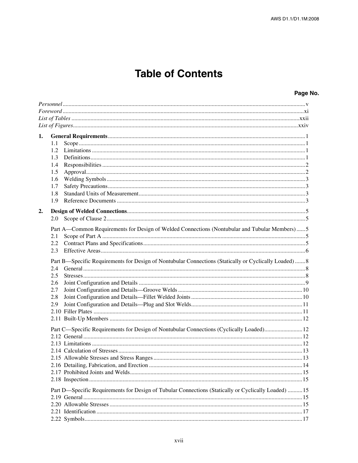# **Table of Contents**

| 1. |                                                                                                        |  |
|----|--------------------------------------------------------------------------------------------------------|--|
|    | 1.1                                                                                                    |  |
|    | 1.2                                                                                                    |  |
|    | 1.3                                                                                                    |  |
|    | 1.4                                                                                                    |  |
|    | 1.5                                                                                                    |  |
|    | 1.6                                                                                                    |  |
|    | 1.7                                                                                                    |  |
|    | 1.8                                                                                                    |  |
|    | 1.9                                                                                                    |  |
| 2. |                                                                                                        |  |
|    | 2.0                                                                                                    |  |
|    |                                                                                                        |  |
|    | Part A—Common Requirements for Design of Welded Connections (Nontubular and Tubular Members)5          |  |
|    | 2.1                                                                                                    |  |
|    | 2.2                                                                                                    |  |
|    | 2.3                                                                                                    |  |
|    | Part B—Specific Requirements for Design of Nontubular Connections (Statically or Cyclically Loaded)  8 |  |
|    | 2.4                                                                                                    |  |
|    | 2.5                                                                                                    |  |
|    | 2.6                                                                                                    |  |
|    | 2.7                                                                                                    |  |
|    | 2.8                                                                                                    |  |
|    | 2.9                                                                                                    |  |
|    |                                                                                                        |  |
|    |                                                                                                        |  |
|    | Part C—Specific Requirements for Design of Nontubular Connections (Cyclically Loaded)12                |  |
|    |                                                                                                        |  |
|    |                                                                                                        |  |
|    |                                                                                                        |  |
|    |                                                                                                        |  |
|    |                                                                                                        |  |
|    |                                                                                                        |  |
|    |                                                                                                        |  |
|    | Part D-Specific Requirements for Design of Tubular Connections (Statically or Cyclically Loaded)  15   |  |
|    |                                                                                                        |  |
|    |                                                                                                        |  |
|    |                                                                                                        |  |
|    |                                                                                                        |  |
|    |                                                                                                        |  |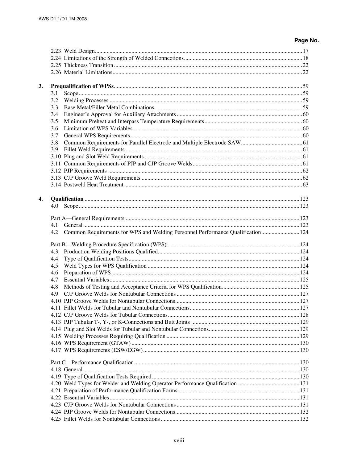| 3. |                                                                                        |  |
|----|----------------------------------------------------------------------------------------|--|
|    | 3.1                                                                                    |  |
|    | 3.2                                                                                    |  |
|    | 3.3                                                                                    |  |
|    | 3.4                                                                                    |  |
|    | 3.5                                                                                    |  |
|    | 3.6                                                                                    |  |
|    | 3.7                                                                                    |  |
|    | 3.8                                                                                    |  |
|    | 3.9                                                                                    |  |
|    |                                                                                        |  |
|    |                                                                                        |  |
|    |                                                                                        |  |
|    |                                                                                        |  |
|    |                                                                                        |  |
|    |                                                                                        |  |
| 4. |                                                                                        |  |
|    | 4.0                                                                                    |  |
|    |                                                                                        |  |
|    | 4.1                                                                                    |  |
|    | Common Requirements for WPS and Welding Personnel Performance Qualification 124<br>4.2 |  |
|    |                                                                                        |  |
|    | 4.3                                                                                    |  |
|    | 4.4                                                                                    |  |
|    | 4.5                                                                                    |  |
|    | 4.6                                                                                    |  |
|    | 4.7                                                                                    |  |
|    | 4.8                                                                                    |  |
|    | 4.9                                                                                    |  |
|    |                                                                                        |  |
|    |                                                                                        |  |
|    |                                                                                        |  |
|    |                                                                                        |  |
|    |                                                                                        |  |
|    |                                                                                        |  |
|    |                                                                                        |  |
|    |                                                                                        |  |
|    |                                                                                        |  |
|    |                                                                                        |  |
|    |                                                                                        |  |
|    |                                                                                        |  |
|    |                                                                                        |  |
|    |                                                                                        |  |
|    |                                                                                        |  |
|    |                                                                                        |  |
|    |                                                                                        |  |
|    |                                                                                        |  |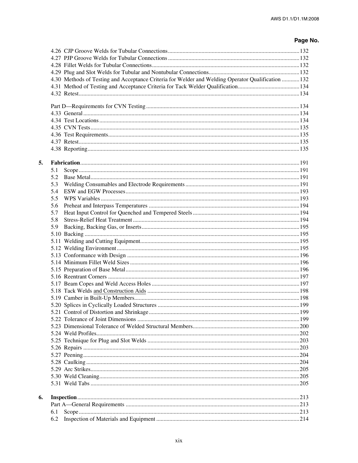|    | 4.30 Methods of Testing and Acceptance Criteria for Welder and Welding Operator Qualification  132 |  |
|----|----------------------------------------------------------------------------------------------------|--|
|    |                                                                                                    |  |
|    |                                                                                                    |  |
|    |                                                                                                    |  |
|    |                                                                                                    |  |
|    |                                                                                                    |  |
|    |                                                                                                    |  |
|    |                                                                                                    |  |
|    |                                                                                                    |  |
|    |                                                                                                    |  |
| 5. |                                                                                                    |  |
|    | 5.1                                                                                                |  |
|    | 5.2                                                                                                |  |
|    | 5.3                                                                                                |  |
|    | 5.4                                                                                                |  |
|    | 5.5                                                                                                |  |
|    | 5.6                                                                                                |  |
|    | 5.7                                                                                                |  |
|    | 5.8                                                                                                |  |
|    | 5.9                                                                                                |  |
|    |                                                                                                    |  |
|    |                                                                                                    |  |
|    |                                                                                                    |  |
|    |                                                                                                    |  |
|    |                                                                                                    |  |
|    |                                                                                                    |  |
|    |                                                                                                    |  |
|    |                                                                                                    |  |
|    |                                                                                                    |  |
|    |                                                                                                    |  |
|    |                                                                                                    |  |
|    |                                                                                                    |  |
|    |                                                                                                    |  |
|    |                                                                                                    |  |
|    |                                                                                                    |  |
|    |                                                                                                    |  |
|    |                                                                                                    |  |
|    |                                                                                                    |  |
|    |                                                                                                    |  |
|    |                                                                                                    |  |
|    |                                                                                                    |  |
|    |                                                                                                    |  |
| 6. |                                                                                                    |  |
|    |                                                                                                    |  |
|    | 6.1                                                                                                |  |
|    |                                                                                                    |  |
|    | 6.2                                                                                                |  |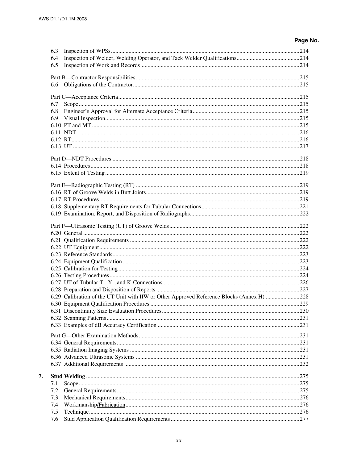| 6.3 |                                                                                           |  |
|-----|-------------------------------------------------------------------------------------------|--|
| 6.4 |                                                                                           |  |
| 6.5 |                                                                                           |  |
|     |                                                                                           |  |
|     |                                                                                           |  |
|     |                                                                                           |  |
|     |                                                                                           |  |
| 6.7 |                                                                                           |  |
| 6.8 |                                                                                           |  |
| 6.9 |                                                                                           |  |
|     |                                                                                           |  |
|     |                                                                                           |  |
|     |                                                                                           |  |
|     |                                                                                           |  |
|     |                                                                                           |  |
|     |                                                                                           |  |
|     |                                                                                           |  |
|     |                                                                                           |  |
|     |                                                                                           |  |
|     |                                                                                           |  |
|     |                                                                                           |  |
|     |                                                                                           |  |
|     |                                                                                           |  |
|     |                                                                                           |  |
|     |                                                                                           |  |
|     |                                                                                           |  |
|     |                                                                                           |  |
|     |                                                                                           |  |
|     |                                                                                           |  |
|     |                                                                                           |  |
|     |                                                                                           |  |
|     |                                                                                           |  |
|     |                                                                                           |  |
|     | 6.29 Calibration of the UT Unit with IIW or Other Approved Reference Blocks (Annex H) 228 |  |
|     |                                                                                           |  |
|     |                                                                                           |  |
|     |                                                                                           |  |
|     |                                                                                           |  |
|     |                                                                                           |  |
|     |                                                                                           |  |
|     |                                                                                           |  |
|     |                                                                                           |  |
|     |                                                                                           |  |
|     |                                                                                           |  |
| 7.  |                                                                                           |  |
| 7.1 |                                                                                           |  |
| 7.2 |                                                                                           |  |
| 7.3 |                                                                                           |  |
| 7.4 |                                                                                           |  |
| 7.5 |                                                                                           |  |
| 7.6 |                                                                                           |  |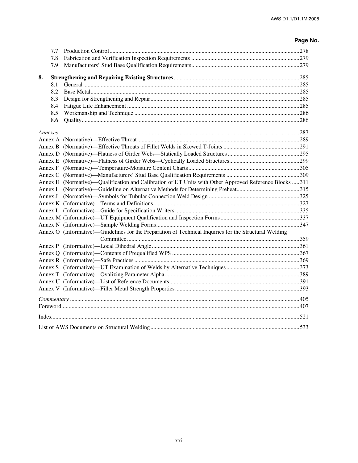|    | 7.7 |                                                                                                         |  |
|----|-----|---------------------------------------------------------------------------------------------------------|--|
|    | 7.8 |                                                                                                         |  |
|    | 7.9 |                                                                                                         |  |
|    |     |                                                                                                         |  |
| 8. |     |                                                                                                         |  |
|    | 8.1 |                                                                                                         |  |
|    | 8.2 |                                                                                                         |  |
|    | 8.3 |                                                                                                         |  |
|    | 8.4 |                                                                                                         |  |
|    | 8.5 |                                                                                                         |  |
|    | 8.6 |                                                                                                         |  |
|    |     |                                                                                                         |  |
|    |     |                                                                                                         |  |
|    |     |                                                                                                         |  |
|    |     |                                                                                                         |  |
|    |     |                                                                                                         |  |
|    |     |                                                                                                         |  |
|    |     |                                                                                                         |  |
|    |     | Annex H (Normative)—Qualification and Calibration of UT Units with Other Approved Reference Blocks  311 |  |
|    |     |                                                                                                         |  |
|    |     |                                                                                                         |  |
|    |     |                                                                                                         |  |
|    |     |                                                                                                         |  |
|    |     |                                                                                                         |  |
|    |     |                                                                                                         |  |
|    |     | Annex O (Informative)—Guidelines for the Preparation of Technical Inquiries for the Structural Welding  |  |
|    |     |                                                                                                         |  |
|    |     |                                                                                                         |  |
|    |     |                                                                                                         |  |
|    |     |                                                                                                         |  |
|    |     |                                                                                                         |  |
|    |     |                                                                                                         |  |
|    |     |                                                                                                         |  |
|    |     |                                                                                                         |  |
|    |     |                                                                                                         |  |
|    |     |                                                                                                         |  |
|    |     |                                                                                                         |  |
|    |     |                                                                                                         |  |
|    |     |                                                                                                         |  |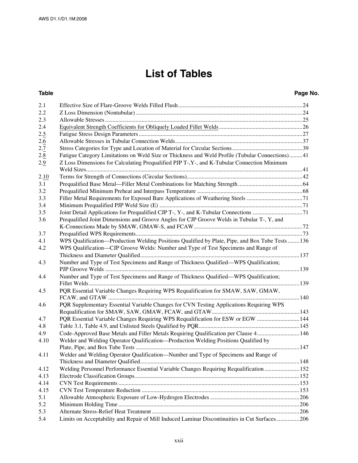# **List of Tables**

### **Table Page No.**

| 2.1  |                                                                                                  |  |
|------|--------------------------------------------------------------------------------------------------|--|
| 2.2  |                                                                                                  |  |
| 2.3  |                                                                                                  |  |
| 2.4  |                                                                                                  |  |
| 2.5  |                                                                                                  |  |
| 2.6  |                                                                                                  |  |
| 2.7  |                                                                                                  |  |
| 2.8  | Fatigue Category Limitations on Weld Size or Thickness and Weld Profile (Tubular Connections) 41 |  |
| 2.9  | Z Loss Dimensions for Calculating Prequalified PJP T-, Y-, and K-Tubular Connection Minimum      |  |
|      |                                                                                                  |  |
| 2.10 |                                                                                                  |  |
| 3.1  |                                                                                                  |  |
| 3.2  |                                                                                                  |  |
| 3.3  |                                                                                                  |  |
| 3.4  |                                                                                                  |  |
| 3.5  |                                                                                                  |  |
| 3.6  | Prequalified Joint Dimensions and Groove Angles for CJP Groove Welds in Tubular T-, Y, and       |  |
|      |                                                                                                  |  |
| 3.7  |                                                                                                  |  |
| 4.1  | WPS Qualification—Production Welding Positions Qualified by Plate, Pipe, and Box Tube Tests  136 |  |
| 4.2  | WPS Qualification—CJP Groove Welds: Number and Type of Test Specimens and Range of               |  |
|      |                                                                                                  |  |
| 4.3  | Number and Type of Test Specimens and Range of Thickness Qualified—WPS Qualification;            |  |
| 4.4  | Number and Type of Test Specimens and Range of Thickness Qualified—WPS Qualification;            |  |
| 4.5  | PQR Essential Variable Changes Requiring WPS Requalification for SMAW, SAW, GMAW,                |  |
| 4.6  | PQR Supplementary Essential Variable Changes for CVN Testing Applications Requiring WPS          |  |
| 4.7  | PQR Essential Variable Changes Requiring WPS Requalification for ESW or EGW  144                 |  |
| 4.8  |                                                                                                  |  |
| 4.9  | Code-Approved Base Metals and Filler Metals Requiring Qualification per Clause 4 146             |  |
| 4.10 | Welder and Welding Operator Qualification-Production Welding Positions Qualified by              |  |
| 4.11 | Welder and Welding Operator Qualification-Number and Type of Specimens and Range of              |  |
|      |                                                                                                  |  |
| 4.12 | Welding Personnel Performance Essential Variable Changes Requiring Requalification  152          |  |
| 4.13 |                                                                                                  |  |
| 4.14 |                                                                                                  |  |
| 4.15 |                                                                                                  |  |
| 5.1  |                                                                                                  |  |
| 5.2  |                                                                                                  |  |
| 5.3  |                                                                                                  |  |
| 5.4  | Limits on Acceptability and Repair of Mill Induced Laminar Discontinuities in Cut Surfaces206    |  |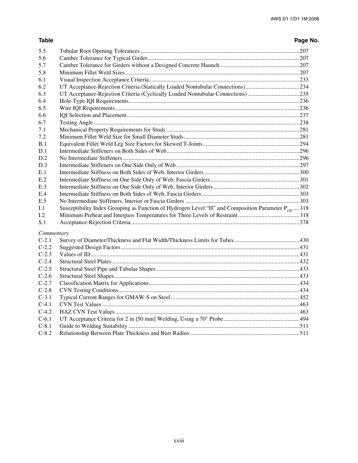### **Table Page No.**

| 5.5        |                                                                                                        |  |
|------------|--------------------------------------------------------------------------------------------------------|--|
| 5.6        |                                                                                                        |  |
| 5.7        |                                                                                                        |  |
| 5.8        |                                                                                                        |  |
| 6.1        |                                                                                                        |  |
| 6.2        | UT Acceptance-Rejection Criteria (Statically Loaded Nontubular Connections)234                         |  |
| 6.3        | UT Acceptance-Rejection Criteria (Cyclically Loaded Nontubular Connections) 235                        |  |
| 6.4        |                                                                                                        |  |
| 6.5        |                                                                                                        |  |
| 6.6        |                                                                                                        |  |
| 6.7        |                                                                                                        |  |
| 7.1        |                                                                                                        |  |
| 7.2        |                                                                                                        |  |
| B.1        |                                                                                                        |  |
| D.1        |                                                                                                        |  |
| D.2        |                                                                                                        |  |
| D.3        |                                                                                                        |  |
| E.1        |                                                                                                        |  |
| E.2        |                                                                                                        |  |
| E.3        |                                                                                                        |  |
| E.4        |                                                                                                        |  |
| E.5        |                                                                                                        |  |
| I.1        | Susceptibility Index Grouping as Function of Hydrogen Level "H" and Composition Parameter $P_{cm}$ 318 |  |
| 1.2        |                                                                                                        |  |
| S.1        |                                                                                                        |  |
| Commentary |                                                                                                        |  |
| $C-2.1$    |                                                                                                        |  |
| $C-2.2$    |                                                                                                        |  |
| $C-2.3$    |                                                                                                        |  |
| $C-2.4$    |                                                                                                        |  |
| $C-2.5$    |                                                                                                        |  |
| $C-2.6$    |                                                                                                        |  |
| $C-2.7$    |                                                                                                        |  |
| $C-2.8$    |                                                                                                        |  |
| $C-3.1$    |                                                                                                        |  |
| $C-4.1$    |                                                                                                        |  |
| $C-4.2$    |                                                                                                        |  |
| $C-6.1$    |                                                                                                        |  |
| $C-8.1$    |                                                                                                        |  |
| $C-8.2$    |                                                                                                        |  |
|            |                                                                                                        |  |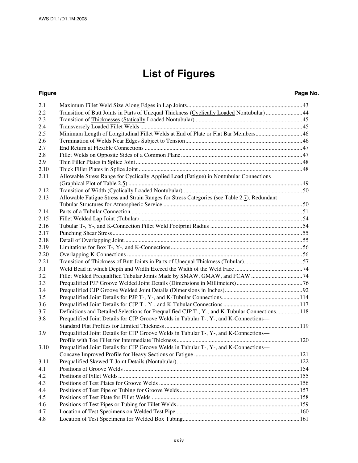# **List of Figures**

| 2.1  |                                                                                                |  |
|------|------------------------------------------------------------------------------------------------|--|
| 2.2  | Transition of Butt Joints in Parts of Unequal Thickness (Cyclically Loaded Nontubular)44       |  |
| 2.3  |                                                                                                |  |
| 2.4  |                                                                                                |  |
| 2.5  | Minimum Length of Longitudinal Fillet Welds at End of Plate or Flat Bar Members46              |  |
| 2.6  |                                                                                                |  |
| 2.7  |                                                                                                |  |
| 2.8  |                                                                                                |  |
| 2.9  |                                                                                                |  |
| 2.10 |                                                                                                |  |
| 2.11 | Allowable Stress Range for Cyclically Applied Load (Fatigue) in Nontubular Connections         |  |
|      |                                                                                                |  |
| 2.12 |                                                                                                |  |
| 2.13 | Allowable Fatigue Stress and Strain Ranges for Stress Categories (see Table 2.7), Redundant    |  |
|      |                                                                                                |  |
| 2.14 |                                                                                                |  |
| 2.15 |                                                                                                |  |
| 2.16 |                                                                                                |  |
| 2.17 |                                                                                                |  |
| 2.18 |                                                                                                |  |
| 2.19 |                                                                                                |  |
| 2.20 |                                                                                                |  |
| 2.21 | Transition of Thickness of Butt Joints in Parts of Unequal Thickness (Tubular)57               |  |
| 3.1  |                                                                                                |  |
| 3.2  |                                                                                                |  |
| 3.3  |                                                                                                |  |
| 3.4  |                                                                                                |  |
| 3.5  |                                                                                                |  |
| 3.6  |                                                                                                |  |
| 3.7  | Definitions and Detailed Selections for Prequalified CJP T-, Y-, and K-Tubular Connections 118 |  |
| 3.8  | Prequalified Joint Details for CJP Groove Welds in Tubular T-, Y-, and K-Connections-          |  |
|      |                                                                                                |  |
| 3.9  | Prequalified Joint Details for CJP Groove Welds in Tubular T-, Y-, and K-Connections—          |  |
|      |                                                                                                |  |
| 3.10 | Prequalified Joint Details for CJP Groove Welds in Tubular T-, Y-, and K-Connections-          |  |
|      |                                                                                                |  |
| 3.11 |                                                                                                |  |
| 4.1  |                                                                                                |  |
| 4.2  |                                                                                                |  |
| 4.3  |                                                                                                |  |
| 4.4  |                                                                                                |  |
| 4.5  |                                                                                                |  |
| 4.6  |                                                                                                |  |
| 4.7  |                                                                                                |  |
| 4.8  |                                                                                                |  |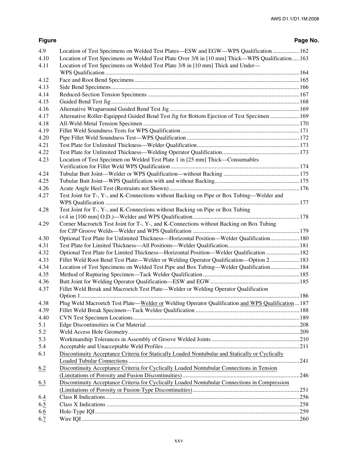| 4.9  | Location of Test Specimens on Welded Test Plates—ESW and EGW—WPS Qualification  162                |  |
|------|----------------------------------------------------------------------------------------------------|--|
| 4.10 | Location of Test Specimens on Welded Test Plate Over 3/8 in [10 mm] Thick—WPS Qualification163     |  |
| 4.11 | Location of Test Specimens on Welded Test Plate 3/8 in [10 mm] Thick and Under-                    |  |
|      |                                                                                                    |  |
| 4.12 |                                                                                                    |  |
| 4.13 |                                                                                                    |  |
| 4.14 |                                                                                                    |  |
| 4.15 |                                                                                                    |  |
| 4.16 |                                                                                                    |  |
| 4.17 | Alternative Roller-Equipped Guided Bend Test Jig for Bottom Ejection of Test Specimen  169         |  |
| 4.18 |                                                                                                    |  |
| 4.19 |                                                                                                    |  |
| 4.20 |                                                                                                    |  |
| 4.21 |                                                                                                    |  |
| 4.22 |                                                                                                    |  |
| 4.23 | Location of Test Specimen on Welded Test Plate 1 in [25 mm] Thick-Consumables                      |  |
|      |                                                                                                    |  |
| 4.24 |                                                                                                    |  |
| 4.25 |                                                                                                    |  |
| 4.26 |                                                                                                    |  |
| 4.27 | Test Joint for T-, Y-, and K-Connections without Backing on Pipe or Box Tubing—Welder and          |  |
|      |                                                                                                    |  |
| 4.28 | Test Joint for T-, Y-, and K-Connections without Backing on Pipe or Box Tubing                     |  |
|      |                                                                                                    |  |
| 4.29 | Corner Macroetch Test Joint for T-, Y-, and K-Connections without Backing on Box Tubing            |  |
|      |                                                                                                    |  |
| 4.30 | Optional Test Plate for Unlimited Thickness—Horizontal Position—Welder Qualification 180           |  |
| 4.31 |                                                                                                    |  |
| 4.32 | Optional Test Plate for Limited Thickness—Horizontal Position—Welder Qualification  182            |  |
| 4.33 | Fillet Weld Root Bend Test Plate—Welder or Welding Operator Qualification—Option 2  183            |  |
| 4.34 | Location of Test Specimens on Welded Test Pipe and Box Tubing—Welder Qualification 184             |  |
| 4.35 |                                                                                                    |  |
| 4.36 |                                                                                                    |  |
| 4.37 | Fillet Weld Break and Macroetch Test Plate—Welder or Welding Operator Qualification                |  |
|      |                                                                                                    |  |
| 4.38 | Plug Weld Macroetch Test Plate—Welder or Welding Operator Qualification and WPS Qualification  187 |  |
| 4.39 |                                                                                                    |  |
| 4.40 |                                                                                                    |  |
| 5.1  |                                                                                                    |  |
| 5.2  |                                                                                                    |  |
| 5.3  |                                                                                                    |  |
| 5.4  |                                                                                                    |  |
| 6.1  | Discontinuity Acceptance Criteria for Statically Loaded Nontubular and Statically or Cyclically    |  |
|      |                                                                                                    |  |
| 6.2  | Discontinuity Acceptance Criteria for Cyclically Loaded Nontubular Connections in Tension          |  |
|      |                                                                                                    |  |
| 6.3  | Discontinuity Acceptance Criteria for Cyclically Loaded Nontubular Connections in Compression      |  |
|      |                                                                                                    |  |
| 6.4  |                                                                                                    |  |
| 6.5  |                                                                                                    |  |
| 6.6  |                                                                                                    |  |
| 6.7  |                                                                                                    |  |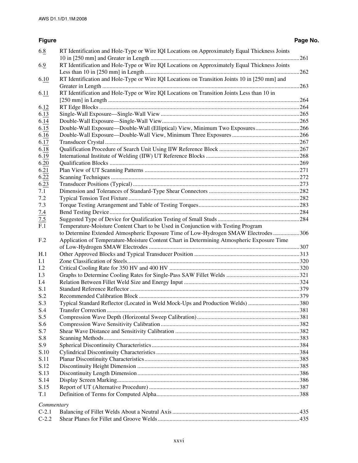| 6.8                | RT Identification and Hole-Type or Wire IQI Locations on Approximately Equal Thickness Joints |  |
|--------------------|-----------------------------------------------------------------------------------------------|--|
|                    |                                                                                               |  |
| 6.9                | RT Identification and Hole-Type or Wire IQI Locations on Approximately Equal Thickness Joints |  |
|                    |                                                                                               |  |
| 6.10               | RT Identification and Hole-Type or Wire IQI Locations on Transition Joints 10 in [250 mm] and |  |
|                    |                                                                                               |  |
| 6.11               | RT Identification and Hole-Type or Wire IQI Locations on Transition Joints Less than 10 in    |  |
|                    |                                                                                               |  |
| 6.12               |                                                                                               |  |
| 6.13               |                                                                                               |  |
| 6.14               |                                                                                               |  |
| 6.15               |                                                                                               |  |
| 6.16               |                                                                                               |  |
| 6.17               |                                                                                               |  |
| 6.18               |                                                                                               |  |
| 6.19               |                                                                                               |  |
| 6.20               |                                                                                               |  |
| 6.21               |                                                                                               |  |
| 6.22               |                                                                                               |  |
| 6.23               |                                                                                               |  |
| 7.1                |                                                                                               |  |
| 7.2                |                                                                                               |  |
| 7.3                |                                                                                               |  |
| 7.4                |                                                                                               |  |
|                    |                                                                                               |  |
| $\frac{7.5}{F.1}$  | Temperature-Moisture Content Chart to be Used in Conjunction with Testing Program             |  |
|                    | to Determine Extended Atmospheric Exposure Time of Low-Hydrogen SMAW Electrodes306            |  |
| F <sub>.2</sub>    | Application of Temperature-Moisture Content Chart in Determining Atmospheric Exposure Time    |  |
|                    |                                                                                               |  |
| H.1                |                                                                                               |  |
| I.1                |                                                                                               |  |
| 1.2                |                                                                                               |  |
| I.3                |                                                                                               |  |
| I.4                |                                                                                               |  |
| S.1                |                                                                                               |  |
| S.2                |                                                                                               |  |
| S.3                | Typical Standard Reflector (Located in Weld Mock-Ups and Production Welds) 380                |  |
| S.4                |                                                                                               |  |
| S.5                |                                                                                               |  |
| S.6                |                                                                                               |  |
| S.7                |                                                                                               |  |
| S.8                |                                                                                               |  |
| S.9                |                                                                                               |  |
| S.10               |                                                                                               |  |
| S.11               |                                                                                               |  |
| S.12               |                                                                                               |  |
| S.13               |                                                                                               |  |
| S.14               |                                                                                               |  |
| S.15               |                                                                                               |  |
| T.1                |                                                                                               |  |
|                    |                                                                                               |  |
| Commentary         |                                                                                               |  |
|                    |                                                                                               |  |
| $C-2.1$<br>$C-2.2$ |                                                                                               |  |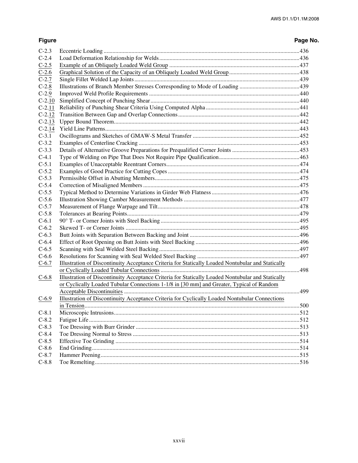| $C-2.3$  |                                                                                                   |  |
|----------|---------------------------------------------------------------------------------------------------|--|
| $C-2.4$  |                                                                                                   |  |
| $C-2.5$  |                                                                                                   |  |
| $C-2.6$  |                                                                                                   |  |
| $C-2.7$  |                                                                                                   |  |
| $C-2.8$  |                                                                                                   |  |
| $C-2.9$  |                                                                                                   |  |
| $C-2.10$ |                                                                                                   |  |
| $C-2.11$ |                                                                                                   |  |
| $C-2.12$ |                                                                                                   |  |
| $C-2.13$ |                                                                                                   |  |
| $C-2.14$ |                                                                                                   |  |
| $C-3.1$  |                                                                                                   |  |
| $C-3.2$  |                                                                                                   |  |
| $C-3.3$  |                                                                                                   |  |
| $C-4.1$  |                                                                                                   |  |
| $C-5.1$  |                                                                                                   |  |
| $C-5.2$  |                                                                                                   |  |
| $C-5.3$  |                                                                                                   |  |
| $C-5.4$  |                                                                                                   |  |
| $C-5.5$  |                                                                                                   |  |
| $C-5.6$  |                                                                                                   |  |
| $C-5.7$  |                                                                                                   |  |
| $C-5.8$  |                                                                                                   |  |
| $C-6.1$  |                                                                                                   |  |
| $C-6.2$  |                                                                                                   |  |
| $C-6.3$  |                                                                                                   |  |
| $C-6.4$  |                                                                                                   |  |
| $C-6.5$  |                                                                                                   |  |
| $C-6.6$  |                                                                                                   |  |
| $C-6.7$  | Illustration of Discontinuity Acceptance Criteria for Statically Loaded Nontubular and Statically |  |
|          |                                                                                                   |  |
| $C-6.8$  | Illustration of Discontinuity Acceptance Criteria for Statically Loaded Nontubular and Statically |  |
|          | or Cyclically Loaded Tubular Connections 1-1/8 in [30 mm] and Greater, Typical of Random          |  |
|          |                                                                                                   |  |
| $C-6.9$  | Illustration of Discontinuity Acceptance Criteria for Cyclically Loaded Nontubular Connections    |  |
|          |                                                                                                   |  |
| $C-8.1$  |                                                                                                   |  |
| $C-8.2$  |                                                                                                   |  |
| $C-8.3$  |                                                                                                   |  |
| $C-8.4$  |                                                                                                   |  |
| $C-8.5$  |                                                                                                   |  |
| $C-8.6$  |                                                                                                   |  |
| $C-8.7$  |                                                                                                   |  |
| $C-8.8$  |                                                                                                   |  |